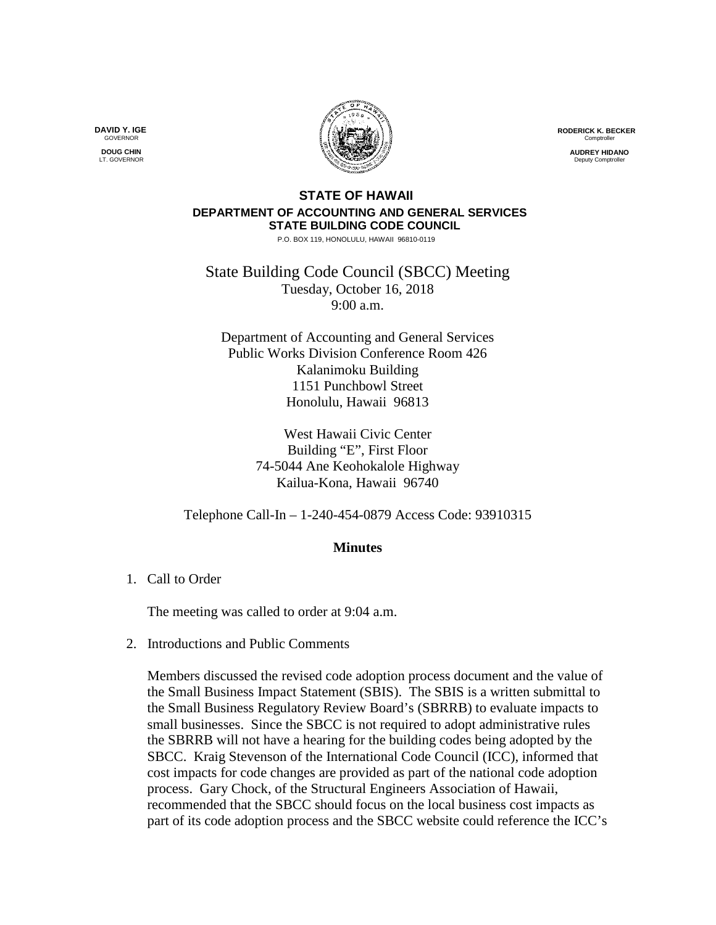**RODERICK K. BECKER** Comptrolle

> **AUDREY HIDANO** Deputy Comptr

## **STATE OF HAWAII DEPARTMENT OF ACCOUNTING AND GENERAL SERVICES STATE BUILDING CODE COUNCIL**

P.O. BOX 119, HONOLULU, HAWAII 96810-0119

State Building Code Council (SBCC) Meeting Tuesday, October 16, 2018 9:00 a.m.

Department of Accounting and General Services Public Works Division Conference Room 426 Kalanimoku Building 1151 Punchbowl Street Honolulu, Hawaii 96813

> West Hawaii Civic Center Building "E", First Floor 74-5044 Ane Keohokalole Highway Kailua-Kona, Hawaii 96740

Telephone Call-In – 1-240-454-0879 Access Code: 93910315

## **Minutes**

1. Call to Order

The meeting was called to order at 9:04 a.m.

2. Introductions and Public Comments

Members discussed the revised code adoption process document and the value of the Small Business Impact Statement (SBIS). The SBIS is a written submittal to the Small Business Regulatory Review Board's (SBRRB) to evaluate impacts to small businesses. Since the SBCC is not required to adopt administrative rules the SBRRB will not have a hearing for the building codes being adopted by the SBCC. Kraig Stevenson of the International Code Council (ICC), informed that cost impacts for code changes are provided as part of the national code adoption process. Gary Chock, of the Structural Engineers Association of Hawaii, recommended that the SBCC should focus on the local business cost impacts as part of its code adoption process and the SBCC website could reference the ICC's

**DAVID Y. IGE GOVERNOR DOUG CHIN**

LT. GOVERNOR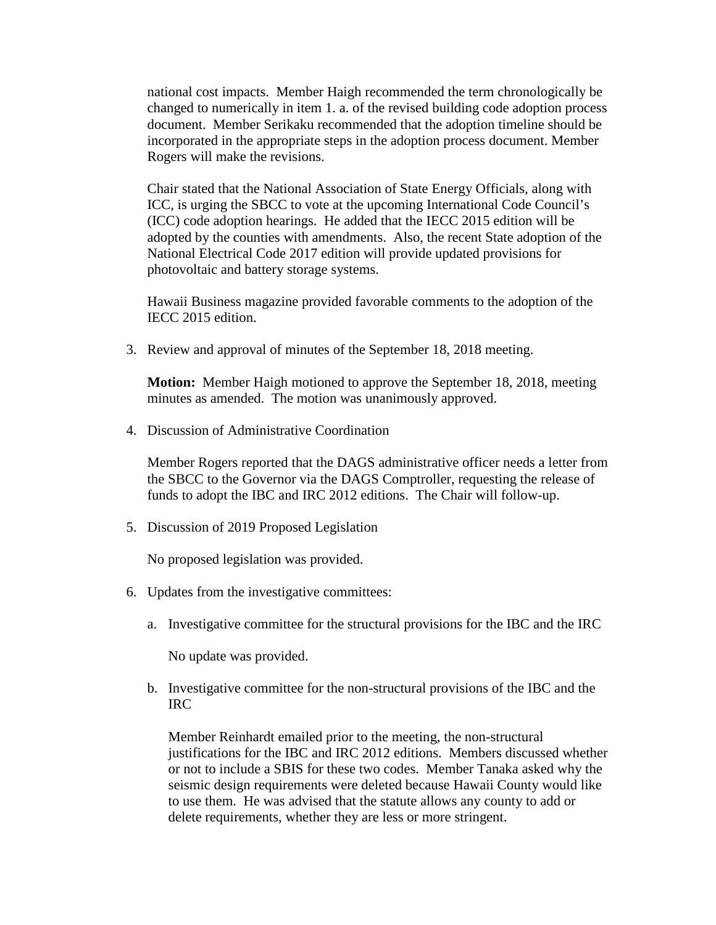national cost impacts. Member Haigh recommended the term chronologically be changed to numerically in item 1. a. of the revised building code adoption process document. Member Serikaku recommended that the adoption timeline should be incorporated in the appropriate steps in the adoption process document. Member Rogers will make the revisions.

Chair stated that the National Association of State Energy Officials, along with ICC, is urging the SBCC to vote at the upcoming International Code Council's (ICC) code adoption hearings. He added that the IECC 2015 edition will be adopted by the counties with amendments. Also, the recent State adoption of the National Electrical Code 2017 edition will provide updated provisions for photovoltaic and battery storage systems.

Hawaii Business magazine provided favorable comments to the adoption of the IECC 2015 edition.

3. Review and approval of minutes of the September 18, 2018 meeting.

**Motion:** Member Haigh motioned to approve the September 18, 2018, meeting minutes as amended. The motion was unanimously approved.

4. Discussion of Administrative Coordination

Member Rogers reported that the DAGS administrative officer needs a letter from the SBCC to the Governor via the DAGS Comptroller, requesting the release of funds to adopt the IBC and IRC 2012 editions. The Chair will follow-up.

5. Discussion of 2019 Proposed Legislation

No proposed legislation was provided.

- 6. Updates from the investigative committees:
	- a. Investigative committee for the structural provisions for the IBC and the IRC

No update was provided.

b. Investigative committee for the non-structural provisions of the IBC and the IRC

Member Reinhardt emailed prior to the meeting, the non-structural justifications for the IBC and IRC 2012 editions. Members discussed whether or not to include a SBIS for these two codes. Member Tanaka asked why the seismic design requirements were deleted because Hawaii County would like to use them. He was advised that the statute allows any county to add or delete requirements, whether they are less or more stringent.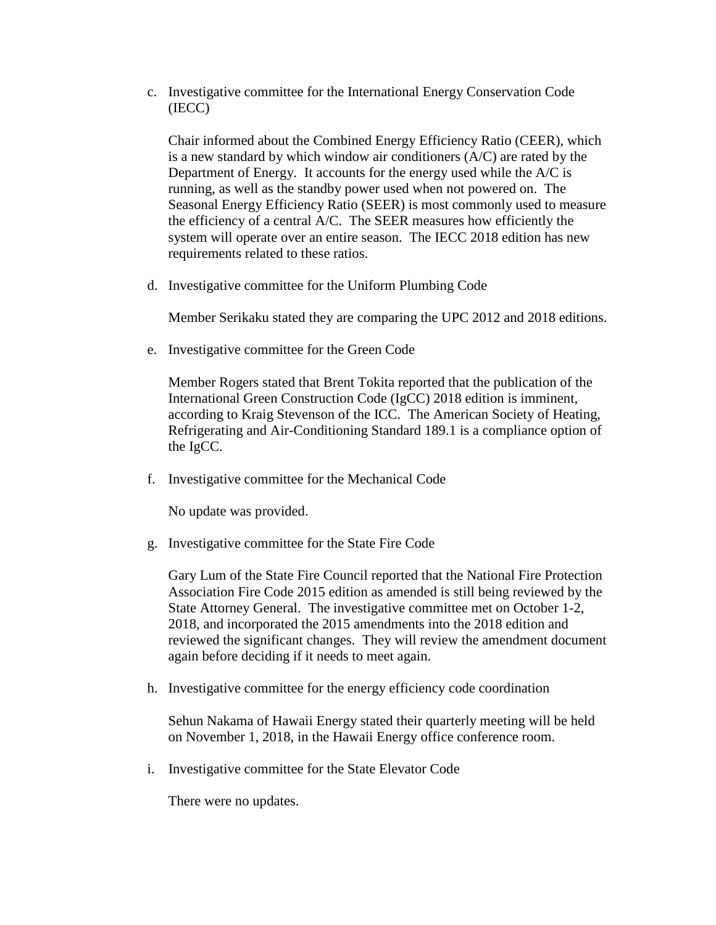c. Investigative committee for the International Energy Conservation Code (IECC)

Chair informed about the Combined Energy Efficiency Ratio (CEER), which is a new standard by which window air conditioners (A/C) are rated by the Department of Energy. It accounts for the energy used while the A/C is running, as well as the standby power used when not powered on. The Seasonal Energy Efficiency Ratio (SEER) is most commonly used to measure the efficiency of a central A/C. The SEER measures how efficiently the system will operate over an entire season. The IECC 2018 edition has new requirements related to these ratios.

d. Investigative committee for the Uniform Plumbing Code

Member Serikaku stated they are comparing the UPC 2012 and 2018 editions.

e. Investigative committee for the Green Code

Member Rogers stated that Brent Tokita reported that the publication of the International Green Construction Code (IgCC) 2018 edition is imminent, according to Kraig Stevenson of the ICC. The American Society of Heating, Refrigerating and Air-Conditioning Standard 189.1 is a compliance option of the IgCC.

f. Investigative committee for the Mechanical Code

No update was provided.

g. Investigative committee for the State Fire Code

Gary Lum of the State Fire Council reported that the National Fire Protection Association Fire Code 2015 edition as amended is still being reviewed by the State Attorney General. The investigative committee met on October 1-2, 2018, and incorporated the 2015 amendments into the 2018 edition and reviewed the significant changes. They will review the amendment document again before deciding if it needs to meet again.

h. Investigative committee for the energy efficiency code coordination

Sehun Nakama of Hawaii Energy stated their quarterly meeting will be held on November 1, 2018, in the Hawaii Energy office conference room.

i. Investigative committee for the State Elevator Code

There were no updates.